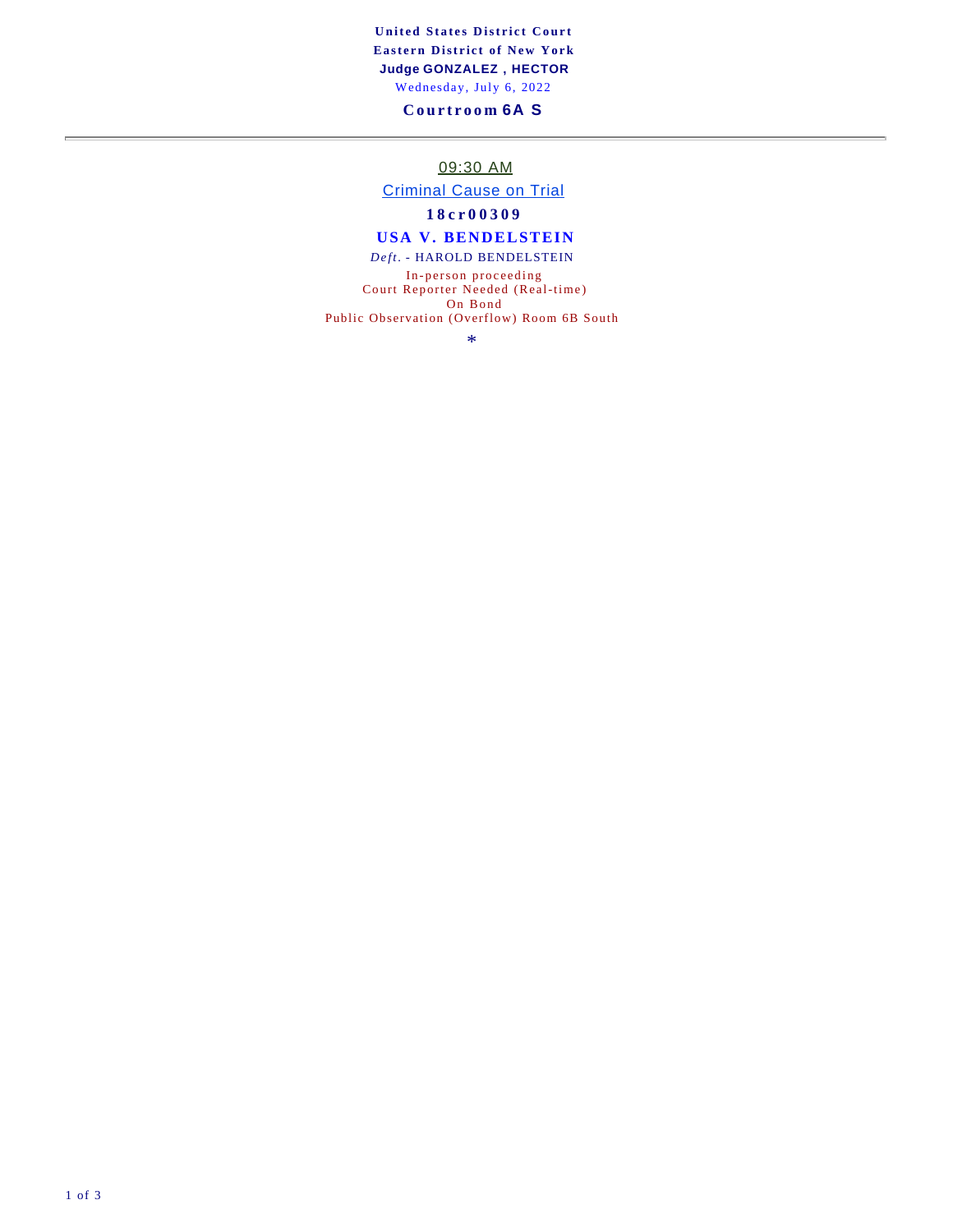**United States District Court Eastern District of New York Judge GONZALEZ , HECTOR**  Wednesday, July 6, 2022

### **Courtroom 6A S**

09:30 AM

Criminal Cause on Trial

**18cr00309**

### **USA V. BENDELSTEIN**

*Deft.* - HAROLD BENDELSTEIN

In-person proceeding Court Reporter Needed (Real-time) On Bond

Public Observation (Overflow) Room 6B South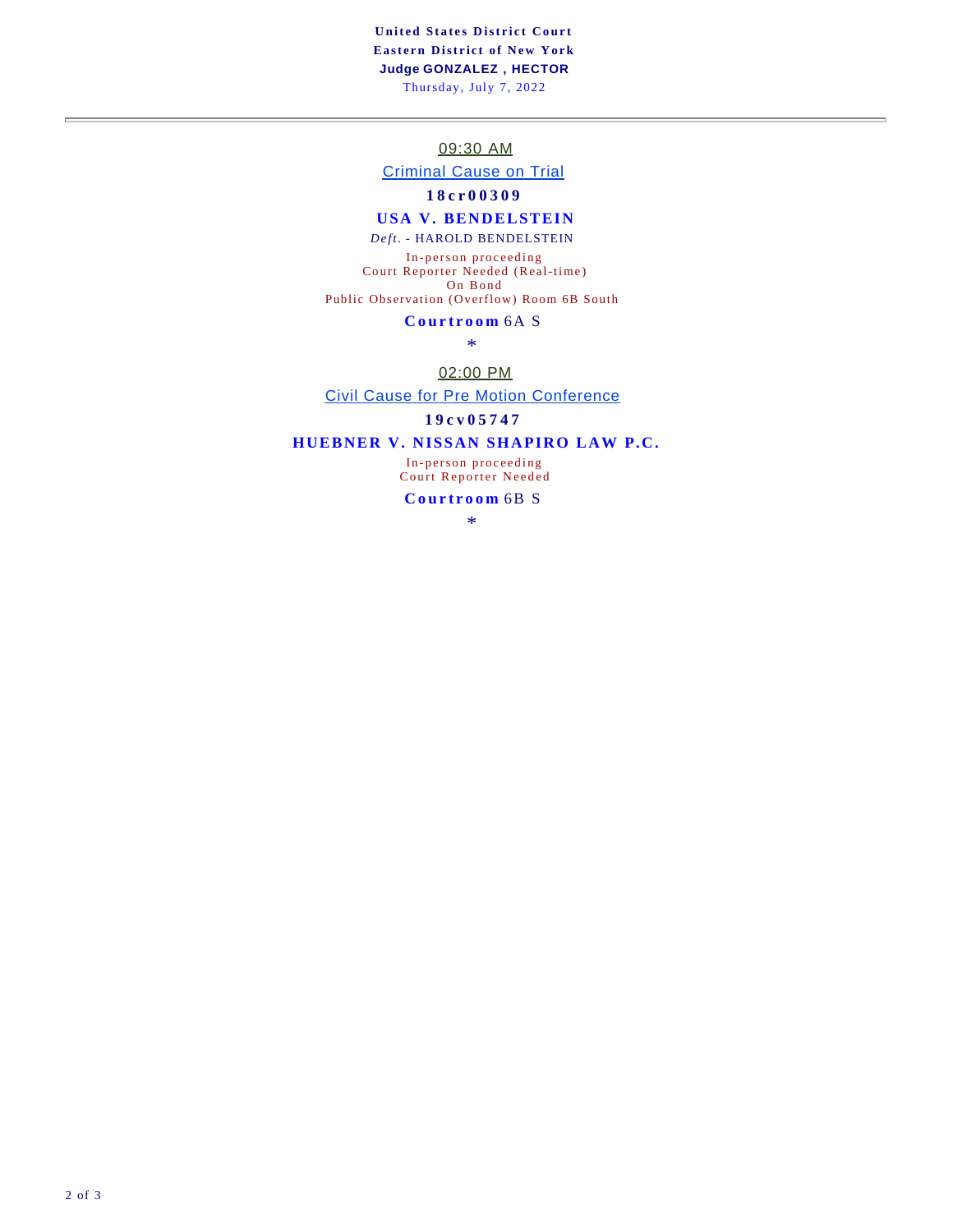**United States District Court Eastern District of New York Judge GONZALEZ , HECTOR**  Thursday, July 7, 2022

09:30 AM

Criminal Cause on Trial

### **18cr00309**

#### **USA V. BENDELSTEIN**

*Deft.* - HAROLD BENDELSTEIN

In-person proceeding Court Reporter Needed (Real-time) On Bond Public Observation (Overflow) Room 6B South

#### **Courtroom** 6A S

\*

#### 02:00 PM

Civil Cause for Pre Motion Conference

### **19cv05747**

### **HUEBNER V. NISSAN SHAPIRO LAW P.C.**

In-person proceeding Court Reporter Needed

**Courtroom** 6B S

\*